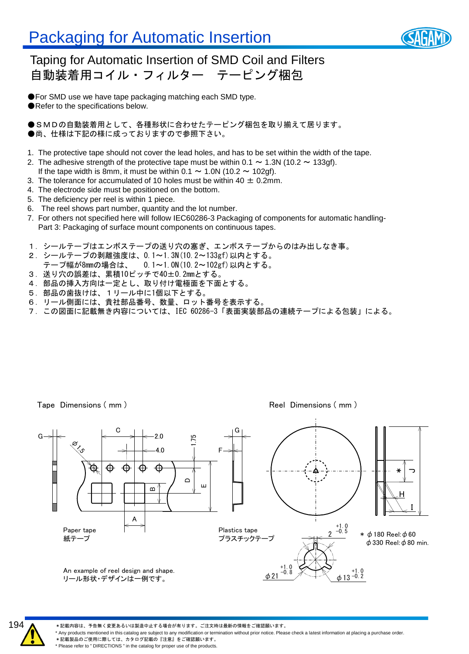### Packaging for Automatic Insertion



#### Taping for Automatic Insertion of SMD Coil and Filters 自動装着用コイル・フィルター テーピング梱包

●For SMD use we have tape packaging matching each SMD type. ●Refer to the specifications below.

●SMDの自動装着用として、各種形状に合わせたテーピング梱包を取り揃えて居ります。 ●尚、仕様は下記の様に成っておりますので参照下さい。

- 1. The protective tape should not cover the lead holes, and has to be set within the width of the tape.
- 2. The adhesive strength of the protective tape must be within  $0.1 \sim 1.3$ N (10.2  $\sim$  133gf).
- If the tape width is 8mm, it must be within 0.1  $\sim$  1.0N (10.2  $\sim$  102gf).
- 3. The tolerance for accumulated of 10 holes must be within 40  $\pm$  0.2mm.
- 4. The electrode side must be positioned on the bottom.
- 5. The deficiency per reel is within 1 piece.
- 6. The reel shows part number, quantity and the lot number.
- 7. For others not specified here will follow IEC60286-3 Packaging of components for automatic handling-Part 3: Packaging of surface mount components on continuous tapes.
- 1.シールテープはエンボステープの送り穴の塞ぎ、エンボステープからのはみ出しなき事。
- 2.シールテープの剥離強度は、0.1~1.3N(10.2~133gf)以内とする。
- テープ幅が8mmの場合は、 0.1~1.0N(10.2~102gf)以内とする。
- 3.送り穴の誤差は、累積10ピッチで40±0.2mmとする。
- 4.部品の挿入方向は一定とし、取り付け電極面を下面とする。
- 5.部品の歯抜けは、1リール中に1個以下とする。
- 6.リール側面には、貴社部品番号、数量、ロット番号を表示する。
- 7.この図面に記載無き内容については、IEC 60286-3「表面実装部品の連続テープによる包装」による。

Tape Dimensions (mm) and the contract of the Reel Dimensions (mm)





\*記載内容は、予告無く変更あるいは製造中止する場合が有ります。ご注文時は最新の情報をご確認願います。

\* Any products mentioned in this catalog are subject to any modification or termination without prior notice. Please check a latest information at placing a purchase order.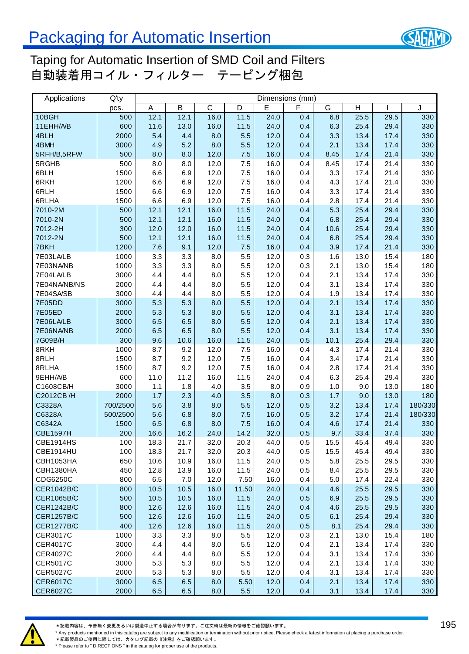# Packaging for Automatic Insertion



### Taping for Automatic Insertion of SMD Coil and Filters 自動装着用コイル・フィルター テーピング梱包

| Applications                           | $Q'$ ty  | Dimensions (mm) |                |                         |              |      |            |                |                         |      |         |
|----------------------------------------|----------|-----------------|----------------|-------------------------|--------------|------|------------|----------------|-------------------------|------|---------|
|                                        | pcs.     | A               | $\overline{B}$ | $\overline{\mathsf{C}}$ | D            | E    | F          | $\overline{G}$ | $\overline{\mathsf{H}}$ |      | J       |
| 10BGH                                  | 500      | 12.1            | 12.1           | 16.0                    | 11.5         | 24.0 | 0.4        | 6.8            | 25.5                    | 29.5 | 330     |
| 11EHH/A/B                              | 600      | 11.6            | 13.0           | 16.0                    | 11.5         | 24.0 | 0.4        | 6.3            | 25.4                    | 29.4 | 330     |
| 4BLH                                   | 2000     | 5.4             | 4.4            | 8.0                     | 5.5          | 12.0 | 0.4        | 3.3            | 13.4                    | 17.4 | 330     |
| 4BMH                                   | 3000     | 4.9             | 5.2            | 8.0                     | 5.5          | 12.0 | 0.4        | 2.1            | 13.4                    | 17.4 | 330     |
| 5RFH/B,5RFW                            | 500      | 8.0             | 8.0            | 12.0                    | 7.5          | 16.0 | 0.4        | 8.45           | 17.4                    | 21.4 | 330     |
| 5RGHB                                  | 500      | 8.0             | 8.0            | 12.0                    | 7.5          | 16.0 | 0.4        | 8.45           | 17.4                    | 21.4 | 330     |
| 6BLH                                   | 1500     | 6.6             | 6.9            | 12.0                    | 7.5          | 16.0 | 0.4        | 3.3            | 17.4                    | 21.4 | 330     |
| 6RKH                                   | 1200     | 6.6             | 6.9            | 12.0                    | 7.5          | 16.0 | 0.4        | 4.3            | 17.4                    | 21.4 | 330     |
| 6RLH                                   | 1500     | 6.6             | 6.9            | 12.0                    | 7.5          | 16.0 | 0.4        | 3.3            | 17.4                    | 21.4 | 330     |
| 6RLHA                                  | 1500     | 6.6             | 6.9            | 12.0                    | 7.5          | 16.0 | 0.4        | 2.8            | 17.4                    | 21.4 | 330     |
| 7010-2M                                | 500      | 12.1            | 12.1           | 16.0                    | 11.5         | 24.0 | 0.4        | 5.3            | 25.4                    | 29.4 | 330     |
| 7010-2N                                | 500      | 12.1            | 12.1           | 16.0                    | 11.5         | 24.0 | 0.4        | 6.8            | 25.4                    | 29.4 | 330     |
| 7012-2H                                | 300      | 12.0            | 12.0           | 16.0                    | 11.5         | 24.0 | 0.4        | 10.6           | 25.4                    | 29.4 | 330     |
| 7012-2N                                | 500      | 12.1            | 12.1           | 16.0                    | 11.5         | 24.0 | 0.4        | 6.8            | 25.4                    | 29.4 | 330     |
| 7BKH                                   | 1200     | 7.6             | 9.1            | 12.0                    | 7.5          | 16.0 | 0.4        | 3.9            | 17.4                    | 21.4 | 330     |
| 7E03LA/LB                              | 1000     | 3.3             | 3.3            | 8.0                     | 5.5          | 12.0 | 0.3        | 1.6            | 13.0                    | 15.4 | 180     |
| 7E03NA/NB                              | 1000     | 3.3             | 3.3            | 8.0                     | 5.5          | 12.0 | 0.3        | 2.1            | 13.0                    | 15.4 | 180     |
| 7E04LA/LB                              | 3000     | 4.4             | 4.4            | 8.0                     | 5.5          | 12.0 | 0.4        | 2.1            | 13.4                    | 17.4 | 330     |
| 7E04NA/NB/NS                           | 2000     | 4.4             | 4.4            | 8.0                     | 5.5          | 12.0 | 0.4        | 3.1            | 13.4                    | 17.4 | 330     |
| 7E04SA/SB                              | 3000     | 4.4             | 4.4            | 8.0                     | 5.5          | 12.0 | 0.4        | 1.9            | 13.4                    | 17.4 | 330     |
| 7E05DD                                 | 3000     | 5.3             | 5.3            | 8.0                     | 5.5          | 12.0 | 0.4        | 2.1            | 13.4                    | 17.4 | 330     |
| <b>7E05ED</b>                          | 2000     | 5.3             | 5.3            | 8.0                     | 5.5          | 12.0 | 0.4        | 3.1            | 13.4                    | 17.4 | 330     |
| 7E06LA/LB                              | 3000     | 6.5             | 6.5            | 8.0                     | 5.5          | 12.0 | 0.4        | 2.1            | 13.4                    | 17.4 | 330     |
| 7E06NA/NB                              | 2000     | 6.5             | 6.5            | 8.0                     | 5.5          | 12.0 | 0.4        | 3.1            | 13.4                    | 17.4 | 330     |
| 7G09B/H                                | 300      | 9.6             | 10.6           | 16.0                    | 11.5         | 24.0 | 0.5        | 10.1           | 25.4                    | 29.4 | 330     |
| 8RKH                                   | 1000     | 8.7             | 9.2            | 12.0                    | 7.5          | 16.0 | 0.4        | 4.3            | 17.4                    | 21.4 | 330     |
| 8RLH                                   | 1500     | 8.7             | 9.2            | 12.0                    | 7.5          | 16.0 | 0.4        | 3.4            | 17.4                    | 21.4 | 330     |
| 8RLHA                                  | 1500     | 8.7             | 9.2            | 12.0                    | 7.5          | 16.0 | 0.4        | 2.8            | 17.4                    | 21.4 | 330     |
| 9EHH/A/B                               | 600      | 11.0            | 11.2           | 16.0                    | 11.5         | 24.0 | 0.4        | 6.3            | 25.4                    | 29.4 | 330     |
| C1608CB/H                              | 3000     | $1.1$           | 1.8            | 4.0                     | 3.5          | 8.0  | 0.9        | 1.0            | 9.0                     | 13.0 | 180     |
| C2012CB/H                              | 2000     | $1.7$           | 2.3            | 4.0                     | 3.5          | 8.0  | 0.3        | $1.7$          | 9.0                     | 13.0 | 180     |
| C3328A                                 | 700/2500 | 5.6             | 3.8            | 8.0                     | 5.5          | 12.0 | 0.5        | 3.2            | 13.4                    | 17.4 | 180/330 |
| C6328A                                 | 500/2500 | 5.6             | 6.8            | 8.0                     | 7.5          | 16.0 | 0.5        | 3.2            | 17.4                    | 21.4 | 180/330 |
| C6342A                                 | 1500     | 6.5             | 6.8            | 8.0                     | 7.5          | 16.0 | 0.4        | 4.6            | 17.4                    | 21.4 | 330     |
| <b>CBE1597H</b>                        | 200      | 16.6            | 16.2           | 24.0                    | 14.2         | 32.0 | 0.5        | 9.7            | 33.4                    | 37.4 | 330     |
| <b>CBE1914HS</b>                       | 100      | 18.3            | 21.7           | 32.0                    | 20.3         | 44.0 | 0.5        | 15.5           | 45.4                    | 49.4 | 330     |
| <b>CBE1914HU</b>                       |          |                 |                |                         |              |      |            | 15.5           |                         | 49.4 | 330     |
| CBH1053HA                              | 100      | 18.3            | 21.7           | 32.0<br>16.0            | 20.3<br>11.5 | 44.0 | 0.5<br>0.5 | 5.8            | 45.4<br>25.5            |      | 330     |
|                                        | 650      | 10.6            | 10.9           |                         |              | 24.0 |            |                |                         | 29.5 |         |
| CBH1380HA                              | 450      | 12.8            | 13.9           | 16.0                    | 11.5         | 24.0 | 0.5        | 8.4            | 25.5                    | 29.5 | 330     |
| CDG6250C                               | 800      | 6.5             | $7.0$          | 12.0                    | 7.50         | 16.0 | 0.4        | $5.0\,$        | 17.4                    | 22.4 | 330     |
| <b>CER1042B/C</b><br><b>CER1065B/C</b> | 800      | 10.5<br>10.5    | 10.5           | 16.0<br>16.0            | 11.50        | 24.0 | 0.4        | 4.6<br>6.9     | 25.5<br>25.5            | 29.5 | 330     |
|                                        | 500      |                 | 10.5           |                         | 11.5         | 24.0 | 0.5        |                |                         | 29.5 | 330     |
| <b>CER1242B/C</b>                      | 800      | 12.6            | 12.6           | 16.0                    | 11.5         | 24.0 | 0.4        | 4.6            | 25.5                    | 29.5 | 330     |
| <b>CER1257B/C</b>                      | 500      | 12.6            | 12.6           | 16.0                    | 11.5         | 24.0 | 0.5        | 6.1            | 25.4                    | 29.4 | 330     |
| <b>CER1277B/C</b>                      | 400      | 12.6            | 12.6           | 16.0                    | 11.5         | 24.0 | 0.5        | 8.1            | 25.4                    | 29.4 | 330     |
| CER3017C                               | 1000     | 3.3             | 3.3            | 8.0                     | 5.5          | 12.0 | 0.3        | 2.1            | 13.0                    | 15.4 | 180     |
| <b>CER4017C</b>                        | 3000     | 4.4             | 4.4            | 8.0                     | 5.5          | 12.0 | 0.4        | 2.1            | 13.4                    | 17.4 | 330     |
| <b>CER4027C</b>                        | 2000     | 4.4             | 4.4            | 8.0                     | 5.5          | 12.0 | 0.4        | 3.1            | 13.4                    | 17.4 | 330     |
| <b>CER5017C</b>                        | 3000     | 5.3             | 5.3            | 8.0                     | 5.5          | 12.0 | 0.4        | 2.1            | 13.4                    | 17.4 | 330     |
| <b>CER5027C</b>                        | 2000     | 5.3             | 5.3            | 8.0                     | $5.5\,$      | 12.0 | 0.4        | 3.1            | 13.4                    | 17.4 | 330     |
| <b>CER6017C</b>                        | 3000     | 6.5             | 6.5            | 8.0                     | 5.50         | 12.0 | 0.4        | 2.1            | 13.4                    | 17.4 | 330     |
| <b>CER6027C</b>                        | 2000     | 6.5             | 6.5            | 8.0                     | 5.5          | 12.0 | 0.4        | 3.1            | 13.4                    | 17.4 | 330     |



\* Any products mentioned in this catalog are subject to any modification or termination without prior notice. Please check a latest information at placing a purchase order.